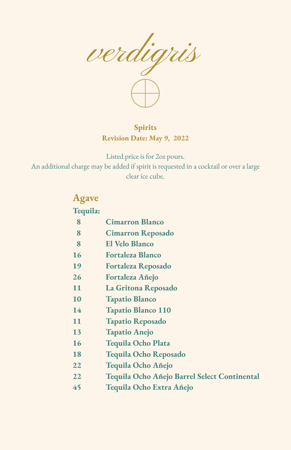

**Spirits Revision Date: May 9, 2022**

Listed price is for 2oz pours. An additional charge may be added if spirit is requested in a cocktail or over a large clear ice cube.

| <b>Agave</b> |                                              |
|--------------|----------------------------------------------|
| Tequila:     |                                              |
| 8            | <b>Cimarron Blanco</b>                       |
| 8            | <b>Cimarron Reposado</b>                     |
| 8            | <b>El Velo Blanco</b>                        |
| 16           | <b>Fortaleza Blanco</b>                      |
| 19           | <b>Fortaleza Reposado</b>                    |
| 26           | Fortaleza Añejo                              |
| 11           | La Gritona Reposado                          |
| 10           | <b>Tapatio Blanco</b>                        |
| 14           | <b>Tapatio Blanco 110</b>                    |
| 11           | <b>Tapatio Reposado</b>                      |
| 13           | <b>Tapatio Anejo</b>                         |
| 16           | Tequila Ocho Plata                           |
| 18           | Tequila Ocho Reposado                        |
| 22           | Tequila Ocho Añejo                           |
| 22           | Tequila Ocho Añejo Barrel Select Continental |
| 45           | Tequila Ocho Extra Añejo                     |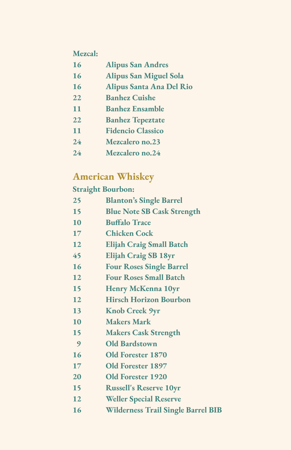#### **Mezcal:**

| 16 | <b>Alipus San Andres</b>      |
|----|-------------------------------|
| 16 | <b>Alipus San Miguel Sola</b> |
| 16 | Alipus Santa Ana Del Rio      |

- **Banhez Cuishe**
- **Banhez Ensamble**
- **Banhez Tepeztate**
- **Fidencio Classico**
- **Mezcalero no.23**
- **Mezcalero no.24**

### **American Whiskey**

#### **Straight Bourbon:**

| 25        | <b>Blanton's Single Barrel</b>            |
|-----------|-------------------------------------------|
| 15        | <b>Blue Note SB Cask Strength</b>         |
| 10        | <b>Buffalo Trace</b>                      |
| 17        | <b>Chicken Cock</b>                       |
| 12        | <b>Elijah Craig Small Batch</b>           |
| 45        | <b>Elijah Craig SB 18yr</b>               |
| 16        | <b>Four Roses Single Barrel</b>           |
| 12        | <b>Four Roses Small Batch</b>             |
| <b>15</b> | <b>Henry McKenna 10yr</b>                 |
| 12        | <b>Hirsch Horizon Bourbon</b>             |
| 13        | <b>Knob Creek 9yr</b>                     |
| 10        | <b>Makers Mark</b>                        |
| 15        | <b>Makers Cask Strength</b>               |
| 9         | <b>Old Bardstown</b>                      |
| 16        | <b>Old Forester 1870</b>                  |
| 17        | <b>Old Forester 1897</b>                  |
| 20        | <b>Old Forester 1920</b>                  |
| 15        | <b>Russell's Reserve 10yr</b>             |
| 12        | <b>Weller Special Reserve</b>             |
| 16        | <b>Wilderness Trail Single Barrel BIB</b> |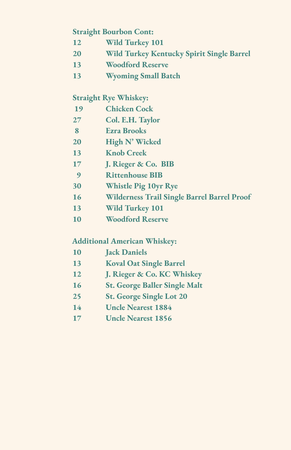#### **Straight Bourbon Cont:**

- **Wild Turkey 101**
- **Wild Turkey Kentucky Spirit Single Barrel**
- **Woodford Reserve**
- **Wyoming Small Batch**

#### **Straight Rye Whiskey:**

- **Chicken Cock**
- **Col. E.H. Taylor**
- **Ezra Brooks**
- **High N' Wicked**
- **Knob Creek**
- **J. Rieger & Co. BIB**
- **Rittenhouse BIB**
- **Whistle Pig 10yr Rye**
- **Wilderness Trail Single Barrel Barrel Proof**
- **Wild Turkey 101**
- **Woodford Reserve**

### **Additional American Whiskey:**

- **Jack Daniels**
- **Koval Oat Single Barrel**
- **J. Rieger & Co. KC Whiskey**
- **St. George Baller Single Malt**
- **St. George Single Lot 20**
- **Uncle Nearest 1884**
- **Uncle Nearest 1856**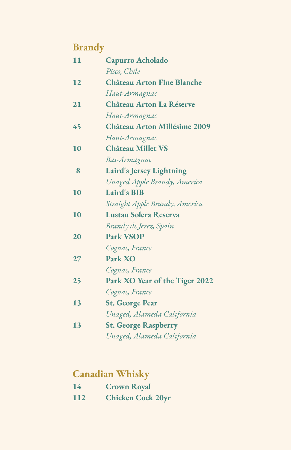# **Brandy**

| 11 | Capurro Acholado                    |
|----|-------------------------------------|
|    | Pisco, Chile                        |
| 12 | <b>Château Arton Fine Blanche</b>   |
|    | Haut-Armagnac                       |
| 21 | Château Arton La Réserve            |
|    | Haut-Armagnac                       |
| 45 | <b>Château Arton Millésime 2009</b> |
|    | Haut-Armagnac                       |
| 10 | <b>Château Millet VS</b>            |
|    | Bas-Armagnac                        |
| 8  | <b>Laird's Jersey Lightning</b>     |
|    | Unaged Apple Brandy, America        |
| 10 | <b>Laird's BIB</b>                  |
|    | Straight Apple Brandy, America      |
| 10 | Lustau Solera Reserva               |
|    | Brandy de Jerez, Spain              |
| 20 | <b>Park VSOP</b>                    |
|    | Cognac, France                      |
| 27 | <b>Park XO</b>                      |
|    | Cognac, France                      |
| 25 | Park XO Year of the Tiger 2022      |
|    | Cognac, France                      |
| 13 | <b>St. George Pear</b>              |
|    | Unaged, Alameda California          |
| 13 | <b>St. George Raspberry</b>         |
|    | Unaged, Alameda California          |

# **Canadian Whisky**

| 14  | <b>Crown Royal</b>       |
|-----|--------------------------|
| 112 | <b>Chicken Cock 20yr</b> |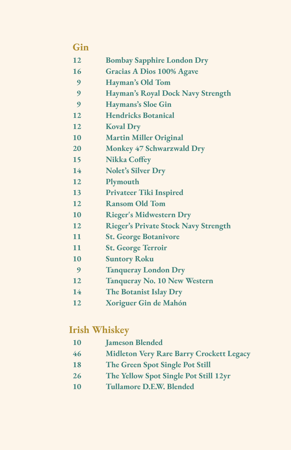#### **Gin**

- **Bombay Sapphire London Dry**
- **Gracias A Dios 100% Agave**
- **Hayman's Old Tom**
- **Hayman's Royal Dock Navy Strength**
- **Haymans's Sloe Gin**
- **Hendricks Botanical**
- **Koval Dry**
- **Martin Miller Original**
- **Monkey 47 Schwarzwald Dry**
- **Nikka Coffey**
- **Nolet's Silver Dry**
- **Plymouth**
- **Privateer Tiki Inspired**
- **Ransom Old Tom**
- **Rieger's Midwestern Dry**
- **Rieger's Private Stock Navy Strength**
- **St. George Botanivore**
- **St. George Terroir**
- **Suntory Roku**
- **Tanqueray London Dry**
- **Tanqueray No. 10 New Western**
- **The Botanist Islay Dry**
- **Xoriguer Gin de Mahón**

#### **Irish Whiskey**

- **Jameson Blended**
- **Midleton Very Rare Barry Crockett Legacy**
- **The Green Spot Single Pot Still**
- **The Yellow Spot Single Pot Still 12yr**
- **Tullamore D.E.W. Blended**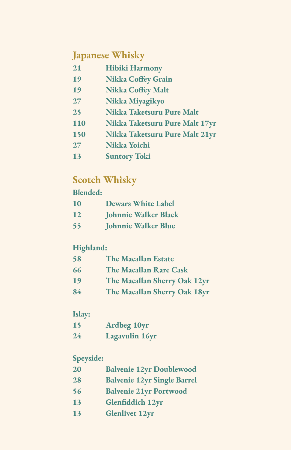### **Japanese Whisky**

| 21         | <b>Hibiki Harmony</b>          |
|------------|--------------------------------|
| 19         | <b>Nikka Coffey Grain</b>      |
| 19         | <b>Nikka Coffey Malt</b>       |
| 27         | Nikka Miyagikyo                |
| 25         | Nikka Taketsuru Pure Malt      |
| <b>110</b> | Nikka Taketsuru Pure Malt 17yr |

- **Nikka Taketsuru Pure Malt 21yr**
- **Nikka Yoichi**
- **Suntory Toki**

## **Scotch Whisky**

#### **Blended:**

| 10 | <b>Dewars White Label</b>   |
|----|-----------------------------|
| 12 | <b>Johnnie Walker Black</b> |
| 55 | <b>Johnnie Walker Blue</b>  |

#### **Highland:**

| 58 | <b>The Macallan Estate</b>   |
|----|------------------------------|
| 66 | The Macallan Rare Cask       |
| 19 | The Macallan Sherry Oak 12yr |
| 84 | The Macallan Sherry Oak 18yr |

#### **Islay:**

| 15 | <b>Ardbeg 10yr</b>    |
|----|-----------------------|
| 24 | <b>Lagavulin 16yr</b> |

#### **Speyside:**

- **Balvenie 12yr Single Barrel**
- **Balvenie 21yr Portwood**
- **Glenfiddich 12yr**
- **Glenlivet 12yr**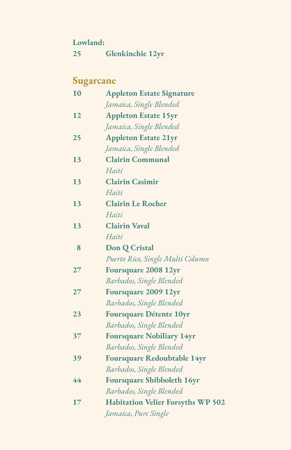| Lowland: |
|----------|
|----------|

**25 Glenkinchie 12yr**

# **Sugarcane**

| 10 | <b>Appleton Estate Signature</b>         |
|----|------------------------------------------|
|    | Jamaica, Single Blended                  |
| 12 | <b>Appleton Estate 15yr</b>              |
|    | Jamaica, Single Blended                  |
| 25 | <b>Appleton Estate 21yr</b>              |
|    | Jamaica, Single Blended                  |
| 13 | <b>Clairin Communal</b>                  |
|    | Haiti                                    |
| 13 | <b>Clairin Casimir</b>                   |
|    | Haiti                                    |
| 13 | <b>Clairin Le Rocher</b>                 |
|    | Haiti                                    |
| 13 | <b>Clairin Vaval</b>                     |
|    | Haiti                                    |
| 8  | Don Q Cristal                            |
|    | Puerto Rico, Single Multi Column         |
| 27 | Foursquare 2008 12yr                     |
|    | Barbados, Single Blended                 |
| 27 | Foursquare 2009 12yr                     |
|    | Barbados, Single Blended                 |
| 23 | <b>Foursquare Détente 10yr</b>           |
|    | Barbados, Single Blended                 |
| 37 | <b>Foursquare Nobiliary 14yr</b>         |
|    | Barbados, Single Blended                 |
| 39 | <b>Foursquare Redoubtable 14yr</b>       |
|    | Barbados, Single Blended                 |
| 44 | <b>Foursquare Shibboleth 16yr</b>        |
|    | Barbados, Single Blended                 |
| 17 | <b>Habitation Velier Forsyths WP 502</b> |
|    | Jamaica, Pure Single                     |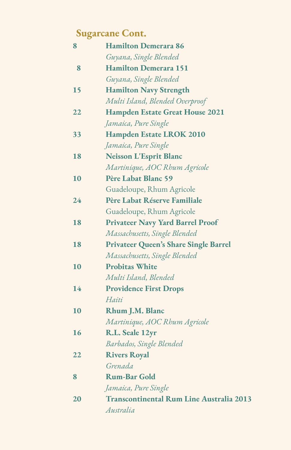# **Sugarcane Cont.**

| 8  | <b>Hamilton Demerara 86</b>                  |
|----|----------------------------------------------|
|    | Guyana, Single Blended                       |
| 8  | <b>Hamilton Demerara 151</b>                 |
|    | Guyana, Single Blended                       |
| 15 | <b>Hamilton Navy Strength</b>                |
|    | Multi Island, Blended Overproof              |
| 22 | <b>Hampden Estate Great House 2021</b>       |
|    | Jamaica, Pure Single                         |
| 33 | Hampden Estate LROK 2010                     |
|    | Jamaica, Pure Single                         |
| 18 | <b>Neisson L'Esprit Blanc</b>                |
|    | Martinique, AOC Rhum Agricole                |
| 10 | Père Labat Blanc 59                          |
|    | Guadeloupe, Rhum Agricole                    |
| 24 | Père Labat Réserve Familiale                 |
|    | Guadeloupe, Rhum Agricole                    |
| 18 | <b>Privateer Navy Yard Barrel Proof</b>      |
|    | Massachusetts, Single Blended                |
| 18 | <b>Privateer Queen's Share Single Barrel</b> |
|    | Massachusetts, Single Blended                |
| 10 | <b>Probitas White</b>                        |
|    | Multi Island, Blended                        |
| 14 | <b>Providence First Drops</b>                |
|    | Haiti                                        |
| 10 | Rhum J.M. Blanc                              |
|    | Martinique, AOC Rhum Agricole                |
| 16 | R.L. Seale 12yr                              |
|    | Barbados, Single Blended                     |
| 22 | <b>Rivers Royal</b>                          |
|    | Grenada                                      |
| 8  | <b>Rum-Bar Gold</b>                          |
|    | Jamaica, Pure Single                         |
| 20 | Transcontinental Rum Line Australia 2013     |
|    | Australia                                    |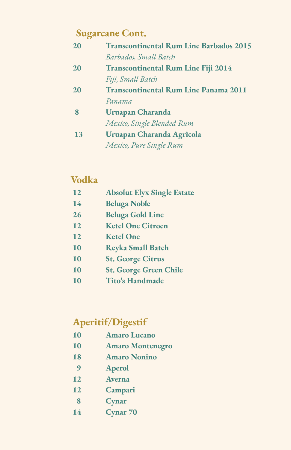# **Sugarcane Cont.**

| 20           | <b>Transcontinental Rum Line Barbados 2015</b> |
|--------------|------------------------------------------------|
|              | Barbados, Small Batch                          |
| 20           | <b>Transcontinental Rum Line Fiji 2014</b>     |
|              | Fiji, Small Batch                              |
| 20           | <b>Transcontinental Rum Line Panama 2011</b>   |
|              | Panama                                         |
| $\mathbf{R}$ | <b>Uruapan Charanda</b>                        |
|              | Mexico, Single Blended Rum                     |
| 13           | Uruapan Charanda Agricola                      |
|              | Mexico, Pure Single Rum                        |

## **Vodka**

| 12 | <b>Absolut Elyx Single Estate</b> |
|----|-----------------------------------|
| 14 | <b>Beluga Noble</b>               |
| 26 | <b>Beluga Gold Line</b>           |
| 12 | <b>Ketel One Citroen</b>          |
| 12 | <b>Ketel One</b>                  |
| 10 | <b>Reyka Small Batch</b>          |
| 10 | <b>St. George Citrus</b>          |
| 10 | <b>St. George Green Chile</b>     |
| 10 | Tito's Handmade                   |

# **Aperitif/Digestif**

- **Amaro Lucano**
- **Amaro Montenegro**
- **Amaro Nonino**
- **Aperol**
- **Averna**
- **Campari**
- **Cynar**
- **Cynar 70**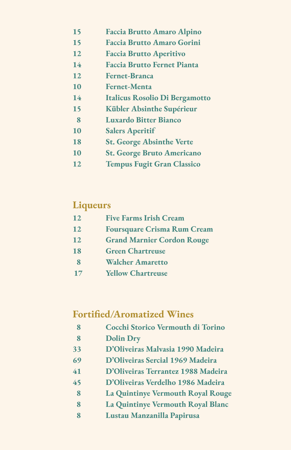#### **Faccia Brutto Amaro Alpino**

- **Faccia Brutto Amaro Gorini**
- **Faccia Brutto Aperitivo**
- **Faccia Brutto Fernet Pianta**
- **Fernet-Branca**
- **Fernet-Menta**
- **Italicus Rosolio Di Bergamotto**
- **Kübler Absinthe Supérieur**
- **Luxardo Bitter Bianco**
- **Salers Aperitif**
- **St. George Absinthe Verte**
- **St. George Bruto Americano**
- **Tempus Fugit Gran Classico**

#### **Liqueurs**

| 12       | <b>Five Farms Irish Cream</b>      |
|----------|------------------------------------|
| 12       | <b>Foursquare Crisma Rum Cream</b> |
| 12       | <b>Grand Marnier Cordon Rouge</b>  |
| 18       | <b>Green Chartreuse</b>            |
| $\bf{8}$ | <b>Walcher Amaretto</b>            |
| 17       | <b>Yellow Chartreuse</b>           |

### **Fortified/Aromatized Wines**

- **Cocchi Storico Vermouth di Torino**
- **Dolin Dry**
- **D'Oliveiras Malvasia 1990 Madeira**
- **D'Oliveiras Sercial 1969 Madeira**
- **D'Oliveiras Terrantez 1988 Madeira**
- **D'Oliveiras Verdelho 1986 Madeira**
- **La Quintinye Vermouth Royal Rouge**
- **La Quintinye Vermouth Royal Blanc**
- **Lustau Manzanilla Papirusa**